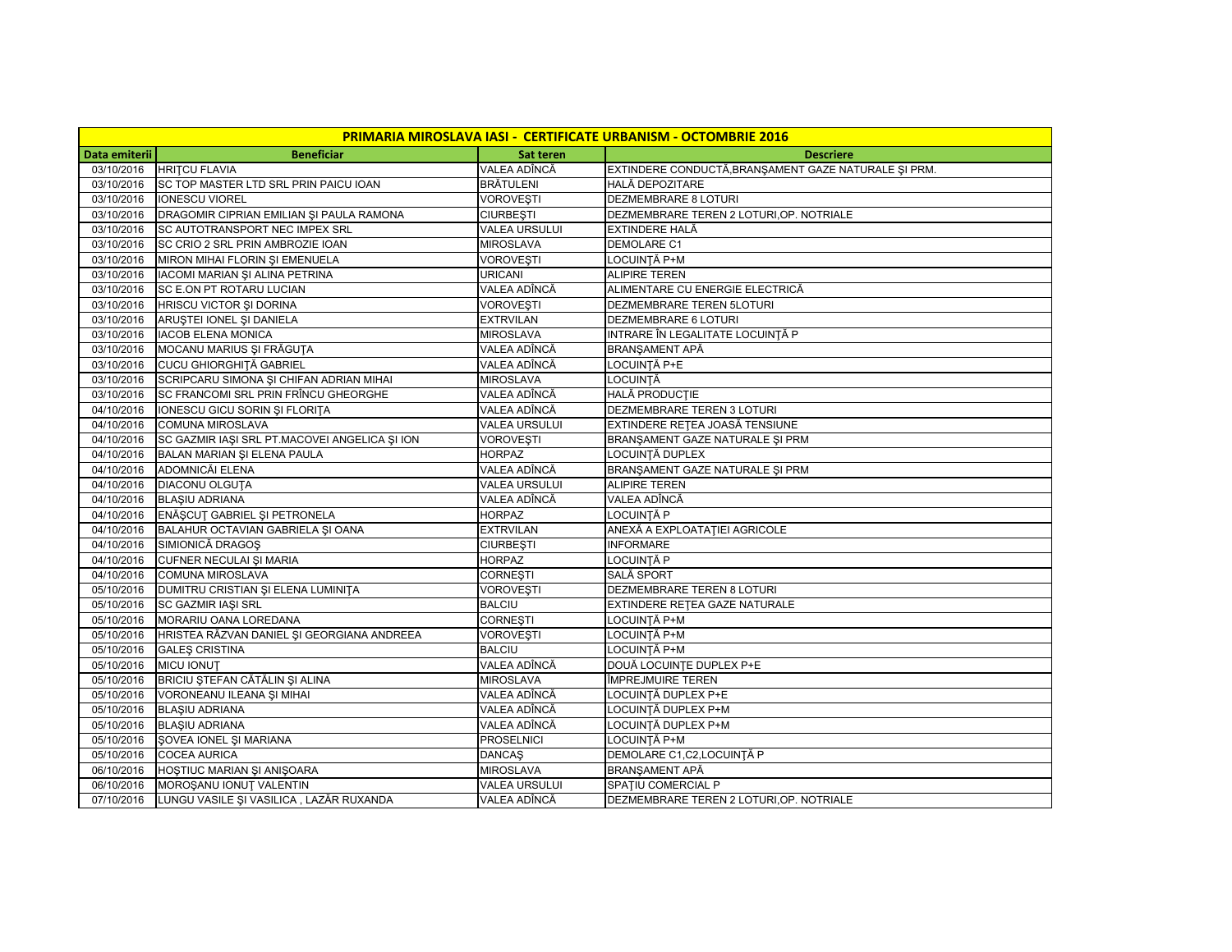| <b>PRIMARIA MIROSLAVA IASI - CERTIFICATE URBANISM - OCTOMBRIE 2016</b> |                                               |                      |                                                      |  |  |
|------------------------------------------------------------------------|-----------------------------------------------|----------------------|------------------------------------------------------|--|--|
| Data emiterii                                                          | <b>Beneficiar</b>                             | Sat teren            | <b>Descriere</b>                                     |  |  |
| 03/10/2016                                                             | <b>HRITCU FLAVIA</b>                          | VALEA ADÎNCĂ         | EXTINDERE CONDUCTĂ, BRANȘAMENT GAZE NATURALE ȘI PRM. |  |  |
| 03/10/2016                                                             | SC TOP MASTER LTD SRL PRIN PAICU IOAN         | <b>BRÄTULENI</b>     | HALĂ DEPOZITARE                                      |  |  |
| 03/10/2016                                                             | <b>IONESCU VIOREL</b>                         | <b>VOROVEȘTI</b>     | <b>DEZMEMBRARE 8 LOTURI</b>                          |  |  |
| 03/10/2016                                                             | DRAGOMIR CIPRIAN EMILIAN ȘI PAULA RAMONA      | <b>CIURBESTI</b>     | DEZMEMBRARE TEREN 2 LOTURI, OP. NOTRIALE             |  |  |
| 03/10/2016                                                             | SC AUTOTRANSPORT NEC IMPEX SRL                | <b>VALEA URSULUI</b> | EXTINDERE HALĂ                                       |  |  |
| 03/10/2016                                                             | SC CRIO 2 SRL PRIN AMBROZIE IOAN              | <b>MIROSLAVA</b>     | DEMOLARE C1                                          |  |  |
| 03/10/2016                                                             | MIRON MIHAI FLORIN ȘI EMENUELA                | <b>VOROVEȘTI</b>     | LOCUINȚĂ P+M                                         |  |  |
| 03/10/2016                                                             | IACOMI MARIAN ȘI ALINA PETRINA                | URICANI              | <b>ALIPIRE TEREN</b>                                 |  |  |
| 03/10/2016                                                             | SC E.ON PT ROTARU LUCIAN                      | VALEA ADÎNCĂ         | ALIMENTARE CU ENERGIE ELECTRICĂ                      |  |  |
| 03/10/2016                                                             | HRISCU VICTOR ȘI DORINA                       | <b>VOROVEȘTI</b>     | DEZMEMBRARE TEREN 5LOTURI                            |  |  |
| 03/10/2016                                                             | ARUȘTEI IONEL ȘI DANIELA                      | <b>EXTRVILAN</b>     | DEZMEMBRARE 6 LOTURI                                 |  |  |
| 03/10/2016                                                             | <b>IACOB ELENA MONICA</b>                     | <b>MIROSLAVA</b>     | INTRARE ÎN LEGALITATE LOCUINȚĂ P                     |  |  |
| 03/10/2016                                                             | MOCANU MARIUS ȘI FRĂGUȚA                      | VALEA ADÎNCĂ         | BRANŞAMENT APĂ                                       |  |  |
| 03/10/2016                                                             | <b>CUCU GHIORGHITĂ GABRIEL</b>                | VALEA ADÎNCĂ         | LOCUINȚĂ P+E                                         |  |  |
| 03/10/2016                                                             | SCRIPCARU SIMONA ȘI CHIFAN ADRIAN MIHAI       | <b>MIROSLAVA</b>     | <b>LOCUINȚĂ</b>                                      |  |  |
| 03/10/2016                                                             | SC FRANCOMI SRL PRIN FRÎNCU GHEORGHE          | VALEA ADÎNCĂ         | HALĂ PRODUCTIE                                       |  |  |
| 04/10/2016                                                             | IONESCU GICU SORIN ȘI FLORIȚA                 | VALEA ADÎNCĂ         | DEZMEMBRARE TEREN 3 LOTURI                           |  |  |
| 04/10/2016                                                             | <b>COMUNA MIROSLAVA</b>                       | <b>VALEA URSULUI</b> | EXTINDERE REȚEA JOASĂ TENSIUNE                       |  |  |
| 04/10/2016                                                             | SC GAZMIR IAȘI SRL PT.MACOVEI ANGELICA ȘI ION | <b>VOROVESTI</b>     | BRANŞAMENT GAZE NATURALE ŞI PRM                      |  |  |
| 04/10/2016                                                             | BALAN MARIAN ȘI ELENA PAULA                   | <b>HORPAZ</b>        | LOCUINȚĂ DUPLEX                                      |  |  |
| 04/10/2016                                                             | ADOMNICĂI ELENA                               | VALEA ADÎNCĂ         | BRANŞAMENT GAZE NATURALE ŞI PRM                      |  |  |
| 04/10/2016                                                             | <b>DIACONU OLGUTA</b>                         | <b>VALEA URSULUI</b> | <b>ALIPIRE TEREN</b>                                 |  |  |
| 04/10/2016                                                             | <b>BLASIU ADRIANA</b>                         | VALEA ADÎNCĂ         | VALEA ADÎNCĂ                                         |  |  |
| 04/10/2016                                                             | ENĂȘCUȚ GABRIEL ȘI PETRONELA                  | <b>HORPAZ</b>        | LOCUINTĂ P                                           |  |  |
| 04/10/2016                                                             | BALAHUR OCTAVIAN GABRIELA ȘI OANA             | <b>EXTRVILAN</b>     | ANEXĂ A EXPLOATAȚIEI AGRICOLE                        |  |  |
| 04/10/2016                                                             | SIMIONICĂ DRAGOS                              | <b>CIURBESTI</b>     | <b>INFORMARE</b>                                     |  |  |
| 04/10/2016                                                             | CUFNER NECULAI ȘI MARIA                       | <b>HORPAZ</b>        | LOCUINȚĂ P                                           |  |  |
| 04/10/2016                                                             | <b>COMUNA MIROSLAVA</b>                       | <b>CORNESTI</b>      | SALĂ SPORT                                           |  |  |
| 05/10/2016                                                             | DUMITRU CRISTIAN ȘI ELENA LUMINIȚA            | <b>VOROVEȘTI</b>     | DEZMEMBRARE TEREN 8 LOTURI                           |  |  |
| 05/10/2016                                                             | <b>SC GAZMIR IAŞI SRL</b>                     | <b>BALCIU</b>        | EXTINDERE RETEA GAZE NATURALE                        |  |  |
| 05/10/2016                                                             | MORARIU OANA LOREDANA                         | <b>CORNESTI</b>      | LOCUINȚĂ P+M                                         |  |  |
| 05/10/2016                                                             | HRISTEA RĂZVAN DANIEL ȘI GEORGIANA ANDREEA    | <b>VOROVESTI</b>     | LOCUINTĂ P+M                                         |  |  |
| 05/10/2016                                                             | <b>GALES CRISTINA</b>                         | <b>BALCIU</b>        | LOCUINȚĂ P+M                                         |  |  |
| 05/10/2016                                                             | <b>MICU IONUT</b>                             | VALEA ADÎNCĂ         | DOUĂ LOCUINȚE DUPLEX P+E                             |  |  |
| 05/10/2016                                                             | BRICIU ȘTEFAN CĂTĂLIN ȘI ALINA                | <b>MIROSLAVA</b>     | ÎMPREJMUIRE TEREN                                    |  |  |
| 05/10/2016                                                             | VORONEANU ILEANA ȘI MIHAI                     | VALEA ADÎNCĂ         | LOCUINTĂ DUPLEX P+E                                  |  |  |
| 05/10/2016                                                             | <b>BLAŞIU ADRIANA</b>                         | VALEA ADÎNCĂ         | LOCUINȚĂ DUPLEX P+M                                  |  |  |
| 05/10/2016                                                             | <b>BLASIU ADRIANA</b>                         | VALEA ADÎNCĂ         | LOCUINȚĂ DUPLEX P+M                                  |  |  |
| 05/10/2016                                                             | <b>ŞOVEA IONEL ȘI MARIANA</b>                 | <b>PROSELNICI</b>    | LOCUINTĂ P+M                                         |  |  |
| 05/10/2016                                                             | <b>COCEA AURICA</b>                           | <b>DANCAŞ</b>        | DEMOLARE C1,C2,LOCUINȚĂ P                            |  |  |
| 06/10/2016                                                             | HOSTIUC MARIAN ȘI ANIȘOARA                    | <b>MIROSLAVA</b>     | BRANŞAMENT APĂ                                       |  |  |
| 06/10/2016                                                             | MOROSANU IONUT VALENTIN                       | <b>VALEA URSULUI</b> | SPATIU COMERCIAL P                                   |  |  |
| 07/10/2016                                                             | LUNGU VASILE ȘI VASILICA, LAZĂR RUXANDA       | VALEA ADÎNCĂ         | DEZMEMBRARE TEREN 2 LOTURI, OP. NOTRIALE             |  |  |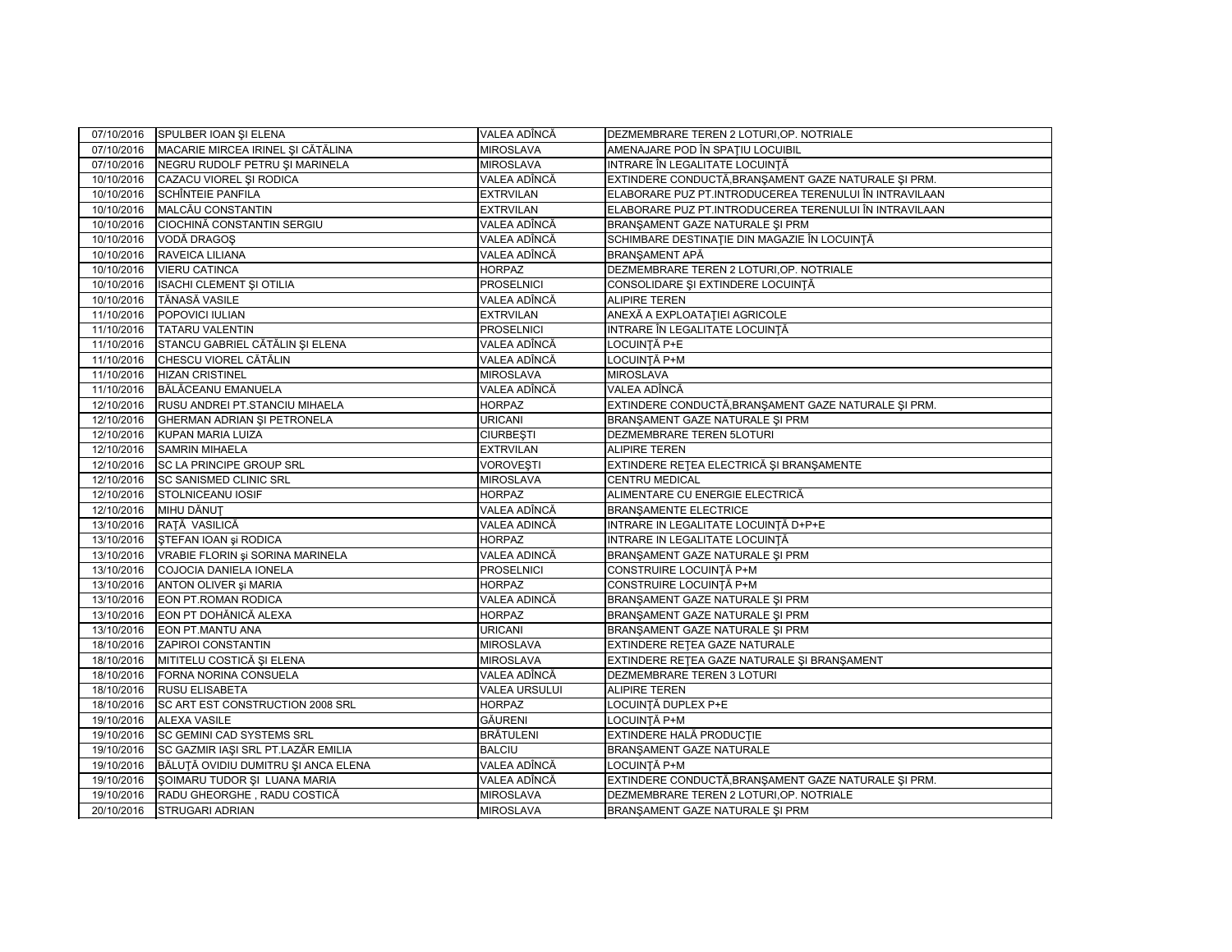| 07/10/2016 | SPULBER IOAN SI ELENA               | VALEA ADÎNCĂ         | DEZMEMBRARE TEREN 2 LOTURI, OP. NOTRIALE               |
|------------|-------------------------------------|----------------------|--------------------------------------------------------|
| 07/10/2016 | MACARIE MIRCEA IRINEL ȘI CĂTĂLINA   | <b>MIROSLAVA</b>     | AMENAJARE POD ÎN SPAȚIU LOCUIBIL                       |
| 07/10/2016 | NEGRU RUDOLF PETRU ȘI MARINELA      | <b>MIROSLAVA</b>     | INTRARE ÎN LEGALITATE LOCUINȚĂ                         |
| 10/10/2016 | CAZACU VIOREL ȘI RODICA             | VALEA ADÎNCĂ         | EXTINDERE CONDUCTĂ, BRANȘAMENT GAZE NATURALE ȘI PRM.   |
| 10/10/2016 | <b>SCHÎNTEIE PANFILA</b>            | <b>EXTRVILAN</b>     | ELABORARE PUZ PT.INTRODUCEREA TERENULUI ÎN INTRAVILAAN |
| 10/10/2016 | MALCĂU CONSTANTIN                   | <b>EXTRVILAN</b>     | ELABORARE PUZ PT.INTRODUCEREA TERENULUI ÎN INTRAVILAAN |
| 10/10/2016 | CIOCHINĂ CONSTANTIN SERGIU          | VALEA ADÎNCĂ         | BRANŞAMENT GAZE NATURALE ŞI PRM                        |
| 10/10/2016 | VODĂ DRAGOȘ                         | VALEA ADÎNCĂ         | SCHIMBARE DESTINAȚIE DIN MAGAZIE ÎN LOCUINȚĂ           |
| 10/10/2016 | RAVEICA LILIANA                     | VALEA ADÎNCĂ         | BRANŞAMENT APĂ                                         |
| 10/10/2016 | <b>VIERU CATINCA</b>                | <b>HORPAZ</b>        | DEZMEMBRARE TEREN 2 LOTURI, OP. NOTRIALE               |
| 10/10/2016 | <b>ISACHI CLEMENT ȘI OTILIA</b>     | <b>PROSELNICI</b>    | CONSOLIDARE ȘI EXTINDERE LOCUINȚĂ                      |
| 10/10/2016 | <b>TĂNASĂ VASILE</b>                | VALEA ADÎNCĂ         | <b>ALIPIRE TEREN</b>                                   |
| 11/10/2016 | POPOVICI IULIAN                     | <b>EXTRVILAN</b>     | ANEXĂ A EXPLOATAȚIEI AGRICOLE                          |
| 11/10/2016 | <b>TATARU VALENTIN</b>              | <b>PROSELNICI</b>    | INTRARE ÎN LEGALITATE LOCUINȚĂ                         |
| 11/10/2016 | STANCU GABRIEL CĂTĂLIN ȘI ELENA     | VALEA ADÎNCĂ         | LOCUINȚĂ P+E                                           |
| 11/10/2016 | CHESCU VIOREL CĂTĂLIN               | VALEA ADÎNCĂ         | LOCUINȚĂ P+M                                           |
| 11/10/2016 | <b>HIZAN CRISTINEL</b>              | <b>MIROSLAVA</b>     | <b>MIROSLAVA</b>                                       |
| 11/10/2016 | BĂLĂCEANU EMANUELA                  | VALEA ADÎNCĂ         | VALEA ADÎNCĂ                                           |
| 12/10/2016 | RUSU ANDREI PT.STANCIU MIHAELA      | <b>HORPAZ</b>        | EXTINDERE CONDUCTĂ,BRANȘAMENT GAZE NATURALE ȘI PRM.    |
| 12/10/2016 | GHERMAN ADRIAN ȘI PETRONELA         | URICANI              | BRANŞAMENT GAZE NATURALE ŞI PRM                        |
| 12/10/2016 | <b>KUPAN MARIA LUIZA</b>            | <b>CIURBESTI</b>     | DEZMEMBRARE TEREN 5LOTURI                              |
| 12/10/2016 | <b>SAMRIN MIHAELA</b>               | <b>EXTRVILAN</b>     | <b>ALIPIRE TEREN</b>                                   |
| 12/10/2016 | SC LA PRINCIPE GROUP SRL            | <b>VOROVEȘTI</b>     | EXTINDERE REȚEA ELECTRICĂ ȘI BRANȘAMENTE               |
| 12/10/2016 | <b>SC SANISMED CLINIC SRL</b>       | <b>MIROSLAVA</b>     | <b>CENTRU MEDICAL</b>                                  |
| 12/10/2016 | STOLNICEANU IOSIF                   | <b>HORPAZ</b>        | ALIMENTARE CU ENERGIE ELECTRICĂ                        |
| 12/10/2016 | MIHU DĂNUT                          | VALEA ADÎNCĂ         | <b>BRANŞAMENTE ELECTRICE</b>                           |
| 13/10/2016 | RATĂ VASILICĂ                       | VALEA ADINCĂ         | INTRARE IN LEGALITATE LOCUINTĂ D+P+E                   |
| 13/10/2016 | ŞTEFAN IOAN şi RODICA               | <b>HORPAZ</b>        | INTRARE IN LEGALITATE LOCUINTĂ                         |
| 13/10/2016 | VRABIE FLORIN și SORINA MARINELA    | VALEA ADINCĂ         | BRANŞAMENT GAZE NATURALE ŞI PRM                        |
| 13/10/2016 | COJOCIA DANIELA IONELA              | <b>PROSELNICI</b>    | CONSTRUIRE LOCUINȚĂ P+M                                |
| 13/10/2016 | ANTON OLIVER și MARIA               | <b>HORPAZ</b>        | CONSTRUIRE LOCUINTĂ P+M                                |
| 13/10/2016 | EON PT.ROMAN RODICA                 | VALEA ADINCĂ         | BRANŞAMENT GAZE NATURALE ŞI PRM                        |
| 13/10/2016 | EON PT DOHĂNICĂ ALEXA               | <b>HORPAZ</b>        | BRANŞAMENT GAZE NATURALE ŞI PRM                        |
| 13/10/2016 | EON PT.MANTU ANA                    | <b>URICANI</b>       | BRANŞAMENT GAZE NATURALE ŞI PRM                        |
| 18/10/2016 | <b>ZAPIROI CONSTANTIN</b>           | <b>MIROSLAVA</b>     | EXTINDERE RETEA GAZE NATURALE                          |
| 18/10/2016 | MITITELU COSTICĂ ȘI ELENA           | <b>MIROSLAVA</b>     | EXTINDERE RETEA GAZE NATURALE ȘI BRANȘAMENT            |
| 18/10/2016 | FORNA NORINA CONSUELA               | VALEA ADÎNCĂ         | DEZMEMBRARE TEREN 3 LOTURI                             |
| 18/10/2016 | <b>RUSU ELISABETA</b>               | <b>VALEA URSULUI</b> | <b>ALIPIRE TEREN</b>                                   |
| 18/10/2016 | SC ART EST CONSTRUCTION 2008 SRL    | <b>HORPAZ</b>        | LOCUINȚĂ DUPLEX P+E                                    |
| 19/10/2016 | <b>ALEXA VASILE</b>                 | <b>GĂURENI</b>       | LOCUINTĂ P+M                                           |
| 19/10/2016 | SC GEMINI CAD SYSTEMS SRL           | <b>BRÄTULENI</b>     | EXTINDERE HALĂ PRODUCȚIE                               |
| 19/10/2016 | SC GAZMIR IAȘI SRL PT.LAZĂR EMILIA  | <b>BALCIU</b>        | BRANŞAMENT GAZE NATURALE                               |
| 19/10/2016 | BĂLUTĂ OVIDIU DUMITRU ȘI ANCA ELENA | VALEA ADÎNCĂ         | LOCUINȚĂ P+M                                           |
| 19/10/2016 | ŞOIMARU TUDOR ŞI LUANA MARIA        | VALEA ADÎNCĂ         | EXTINDERE CONDUCTĂ, BRANȘAMENT GAZE NATURALE ȘI PRM.   |
| 19/10/2016 | RADU GHEORGHE, RADU COSTICĂ         | <b>MIROSLAVA</b>     | DEZMEMBRARE TEREN 2 LOTURI, OP. NOTRIALE               |
| 20/10/2016 | <b>STRUGARI ADRIAN</b>              | <b>MIROSLAVA</b>     | BRANŞAMENT GAZE NATURALE ŞI PRM                        |
|            |                                     |                      |                                                        |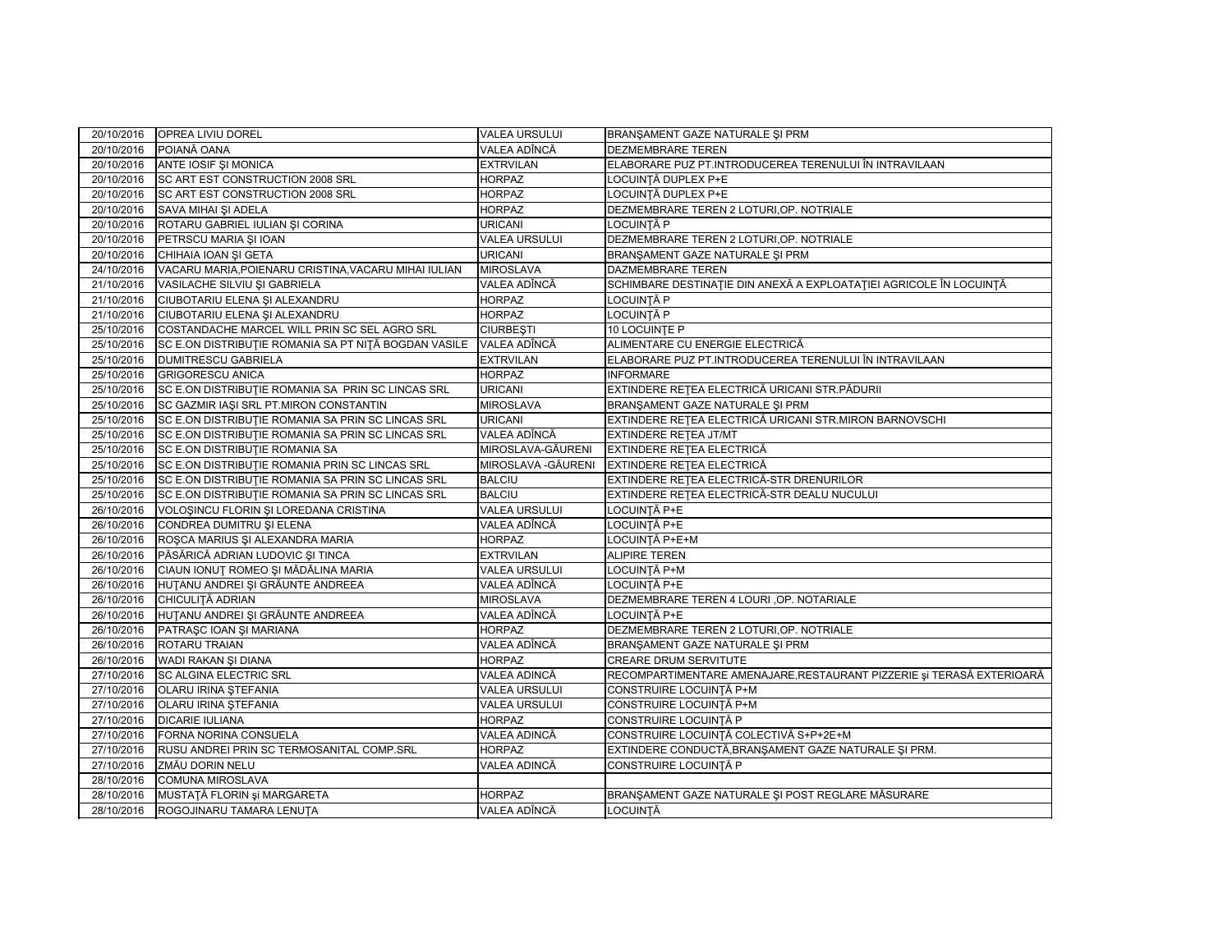| 20/10/2016 | OPREA LIVIU DOREL                                    | <b>VALEA URSULUI</b> | BRANŞAMENT GAZE NATURALE ŞI PRM                                      |
|------------|------------------------------------------------------|----------------------|----------------------------------------------------------------------|
| 20/10/2016 | POIANĂ OANA                                          | VALEA ADÎNCĂ         | <b>DEZMEMBRARE TEREN</b>                                             |
| 20/10/2016 | ANTE IOSIF ȘI MONICA                                 | <b>EXTRVILAN</b>     | ELABORARE PUZ PT.INTRODUCEREA TERENULUI ÎN INTRAVILAAN               |
| 20/10/2016 | SC ART EST CONSTRUCTION 2008 SRL                     | <b>HORPAZ</b>        | LOCUINTĂ DUPLEX P+E                                                  |
| 20/10/2016 | <b>SC ART EST CONSTRUCTION 2008 SRL</b>              | <b>HORPAZ</b>        | LOCUINȚĂ DUPLEX P+E                                                  |
| 20/10/2016 | SAVA MIHAI ȘI ADELA                                  | <b>HORPAZ</b>        | DEZMEMBRARE TEREN 2 LOTURI, OP. NOTRIALE                             |
| 20/10/2016 | ROTARU GABRIEL IULIAN ȘI CORINA                      | <b>URICANI</b>       | LOCUINTĂ P                                                           |
| 20/10/2016 | PETRSCU MARIA ȘI IOAN                                | <b>VALEA URSULUI</b> | DEZMEMBRARE TEREN 2 LOTURI, OP. NOTRIALE                             |
| 20/10/2016 | CHIHAIA IOAN ȘI GETA                                 | <b>URICANI</b>       | BRANŞAMENT GAZE NATURALE ŞI PRM                                      |
| 24/10/2016 | VACARU MARIA, POIENARU CRISTINA, VACARU MIHAI IULIAN | <b>MIROSLAVA</b>     | DAZMEMBRARE TEREN                                                    |
| 21/10/2016 | VASILACHE SILVIU ȘI GABRIELA                         | VALEA ADÎNCĂ         | SCHIMBARE DESTINAȚIE DIN ANEXĂ A EXPLOATAȚIEI AGRICOLE ÎN LOCUINȚĂ   |
| 21/10/2016 | CIUBOTARIU ELENA ȘI ALEXANDRU                        | <b>HORPAZ</b>        | LOCUINTĂ P                                                           |
| 21/10/2016 | CIUBOTARIU ELENA ȘI ALEXANDRU                        | <b>HORPAZ</b>        | <b>LOCUINTĂ P</b>                                                    |
| 25/10/2016 | COSTANDACHE MARCEL WILL PRIN SC SEL AGRO SRL         | <b>CIURBEȘTI</b>     | 10 LOCUINTE P                                                        |
| 25/10/2016 | SC E.ON DISTRIBUTIE ROMANIA SA PT NIȚĂ BOGDAN VASILE | VALEA ADÎNCĂ         | ALIMENTARE CU ENERGIE ELECTRICĂ                                      |
| 25/10/2016 | <b>DUMITRESCU GABRIELA</b>                           | <b>EXTRVILAN</b>     | ELABORARE PUZ PT.INTRODUCEREA TERENULUI ÎN INTRAVILAAN               |
| 25/10/2016 | <b>GRIGORESCU ANICA</b>                              | <b>HORPAZ</b>        | <b>INFORMARE</b>                                                     |
| 25/10/2016 | SC E.ON DISTRIBUTIE ROMANIA SA PRIN SC LINCAS SRL    | <b>URICANI</b>       | EXTINDERE RETEA ELECTRICĂ URICANI STR.PĂDURII                        |
| 25/10/2016 | SC GAZMIR IAŞI SRL PT.MIRON CONSTANTIN               | <b>MIROSLAVA</b>     | BRANŞAMENT GAZE NATURALE ŞI PRM                                      |
| 25/10/2016 | SC E.ON DISTRIBUTIE ROMANIA SA PRIN SC LINCAS SRL    | <b>URICANI</b>       | EXTINDERE REȚEA ELECTRICĂ URICANI STR.MIRON BARNOVSCHI               |
| 25/10/2016 | SC E.ON DISTRIBUTIE ROMANIA SA PRIN SC LINCAS SRL    | VALEA ADÎNCĂ         | EXTINDERE RETEA JT/MT                                                |
| 25/10/2016 | <b>SC E.ON DISTRIBUTIE ROMANIA SA</b>                | MIROSLAVA-GĂURENI    | EXTINDERE REȚEA ELECTRICĂ                                            |
| 25/10/2016 | SC E.ON DISTRIBUTIE ROMANIA PRIN SC LINCAS SRL       | MIROSLAVA - GĂURENI  | <b>EXTINDERE RETEA ELECTRICĂ</b>                                     |
| 25/10/2016 | SC E.ON DISTRIBUTIE ROMANIA SA PRIN SC LINCAS SRL    | <b>BALCIU</b>        | EXTINDERE RETEA ELECTRICĂ-STR DRENURILOR                             |
| 25/10/2016 | SC E.ON DISTRIBUTIE ROMANIA SA PRIN SC LINCAS SRL    | <b>BALCIU</b>        | EXTINDERE REȚEA ELECTRICĂ-STR DEALU NUCULUI                          |
| 26/10/2016 | VOLOȘINCU FLORIN ȘI LOREDANA CRISTINA                | <b>VALEA URSULUI</b> | LOCUINTĂ P+E                                                         |
| 26/10/2016 | CONDREA DUMITRU ȘI ELENA                             | VALEA ADÎNCĂ         | LOCUINȚĂ P+E                                                         |
| 26/10/2016 | ROȘCA MARIUS ȘI ALEXANDRA MARIA                      | <b>HORPAZ</b>        | LOCUINȚĂ P+E+M                                                       |
| 26/10/2016 | PĂSĂRICĂ ADRIAN LUDOVIC ȘI TINCA                     | <b>EXTRVILAN</b>     | <b>ALIPIRE TEREN</b>                                                 |
| 26/10/2016 | CIAUN IONUT ROMEO ȘI MĂDĂLINA MARIA                  | <b>VALEA URSULUI</b> | LOCUINTĂ P+M                                                         |
| 26/10/2016 | HUȚANU ANDREI ȘI GRĂUNTE ANDREEA                     | VALEA ADÎNCĂ         | LOCUINTĂ P+E                                                         |
| 26/10/2016 | CHICULITĂ ADRIAN                                     | <b>MIROSLAVA</b>     | DEZMEMBRARE TEREN 4 LOURI , OP. NOTARIALE                            |
| 26/10/2016 | HUȚANU ANDREI ȘI GRĂUNTE ANDREEA                     | VALEA ADÎNCĂ         | LOCUINȚĂ P+E                                                         |
| 26/10/2016 | PATRAȘC IOAN ȘI MARIANA                              | <b>HORPAZ</b>        | DEZMEMBRARE TEREN 2 LOTURI, OP. NOTRIALE                             |
| 26/10/2016 | ROTARU TRAIAN                                        | VALEA ADÎNCĂ         | BRANŞAMENT GAZE NATURALE ŞI PRM                                      |
| 26/10/2016 | WADI RAKAN ŞI DIANA                                  | <b>HORPAZ</b>        | <b>CREARE DRUM SERVITUTE</b>                                         |
| 27/10/2016 | <b>SC ALGINA ELECTRIC SRL</b>                        | <b>VALEA ADINCĂ</b>  | RECOMPARTIMENTARE AMENAJARE,RESTAURANT PIZZERIE și TERASĂ EXTERIOARĂ |
| 27/10/2016 | <b>OLARU IRINA STEFANIA</b>                          | <b>VALEA URSULUI</b> | CONSTRUIRE LOCUINTĂ P+M                                              |
| 27/10/2016 | <b>OLARU IRINA ȘTEFANIA</b>                          | <b>VALEA URSULUI</b> | CONSTRUIRE LOCUINTĂ P+M                                              |
| 27/10/2016 | <b>DICARIE IULIANA</b>                               | <b>HORPAZ</b>        | CONSTRUIRE LOCUINTĂ P                                                |
| 27/10/2016 | FORNA NORINA CONSUELA                                | VALEA ADINCĂ         | CONSTRUIRE LOCUINȚĂ COLECTIVĂ S+P+2E+M                               |
| 27/10/2016 | RUSU ANDREI PRIN SC TERMOSANITAL COMP.SRL            | <b>HORPAZ</b>        | EXTINDERE CONDUCTĂ, BRANSAMENT GAZE NATURALE ȘI PRM.                 |
| 27/10/2016 | ZMĂU DORIN NELU                                      | VALEA ADINCĂ         | CONSTRUIRE LOCUINȚĂ P                                                |
| 28/10/2016 | <b>COMUNA MIROSLAVA</b>                              |                      |                                                                      |
| 28/10/2016 | MUSTAȚĂ FLORIN și MARGARETA                          | <b>HORPAZ</b>        | BRANȘAMENT GAZE NATURALE ȘI POST REGLARE MĂSURARE                    |
| 28/10/2016 | ROGOJINARU TAMARA LENUȚA                             | VALEA ADÎNCĂ         | LOCUINTĂ                                                             |
|            |                                                      |                      |                                                                      |